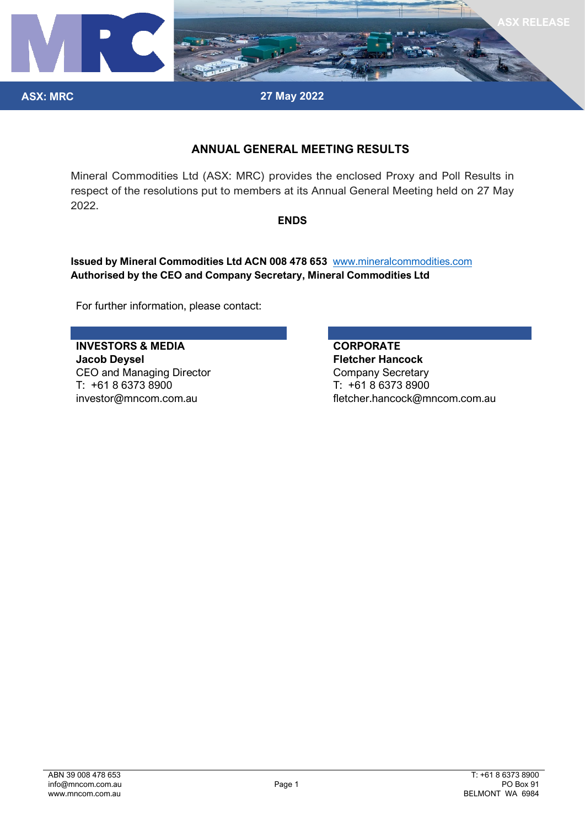

**27 May 2022**

# **ANNUAL GENERAL MEETING RESULTS**

Mineral Commodities Ltd (ASX: MRC) provides the enclosed Proxy and Poll Results in respect of the resolutions put to members at its Annual General Meeting held on 27 May 2022.

## **ENDS**

**Issued by Mineral Commodities Ltd ACN 008 478 653** [www.mineralcommodities.com](http://www.mineralcommodities.com/) **Authorised by the CEO and Company Secretary, Mineral Commodities Ltd**

For further information, please contact:

**INVESTORS & MEDIA CORPORATE Jacob Deysel Fletcher Hancock** CEO and Managing Director Company Secretary T: +61 8 6373 8900 T: +61 8 6373 8900

**ASX: MRC**

investor@mncom.com.au fletcher.hancock@mncom.com.au